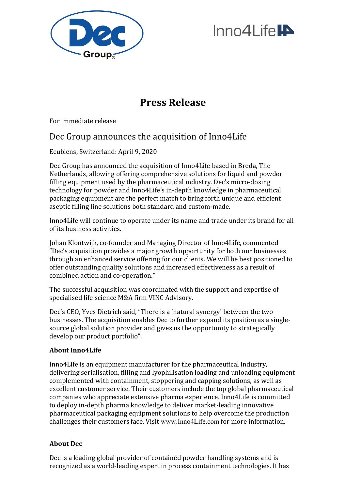

# $InnA$  ife

## **Press Release**

For immediate release

## Dec Group announces the acquisition of Inno4Life

Ecublens, Switzerland: April 9, 2020

Dec Group has announced the acquisition of Inno4Life based in Breda, The Netherlands, allowing offering comprehensive solutions for liquid and powder filling equipment used by the pharmaceutical industry. Dec's micro-dosing technology for powder and Inno4Life's in-depth knowledge in pharmaceutical packaging equipment are the perfect match to bring forth unique and efficient aseptic filling line solutions both standard and custom-made.

Inno4Life will continue to operate under its name and trade under its brand for all of its business activities.

Johan Klootwijk, co-founder and Managing Director of Inno4Life, commented "Dec's acquisition provides a major growth opportunity for both our businesses through an enhanced service offering for our clients. We will be best positioned to offer outstanding quality solutions and increased effectiveness as a result of combined action and co-operation."

The successful acquisition was coordinated with the support and expertise of specialised life science M&A firm VINC Advisory.

Dec's CEO, Yves Dietrich said, "There is a 'natural synergy' between the two businesses. The acquisition enables Dec to further expand its position as a singlesource global solution provider and gives us the opportunity to strategically develop our product portfolio".

### **About Inno4Life**

Inno4Life is an equipment manufacturer for the pharmaceutical industry, delivering serialisation, filling and lyophilisation loading and unloading equipment complemented with containment, stoppering and capping solutions, as well as excellent customer service. Their customers include the top global pharmaceutical companies who appreciate extensive pharma experience. Inno4Life is committed to deploy in-depth pharma knowledge to deliver market-leading innovative pharmaceutical packaging equipment solutions to help overcome the production challenges their customers face. Visit [www.Inno4Life.com](http://www.inno4life.com/) for more information.

### **About Dec**

Dec is a leading global provider of contained powder handling systems and is recognized as a world-leading expert in process containment technologies. It has